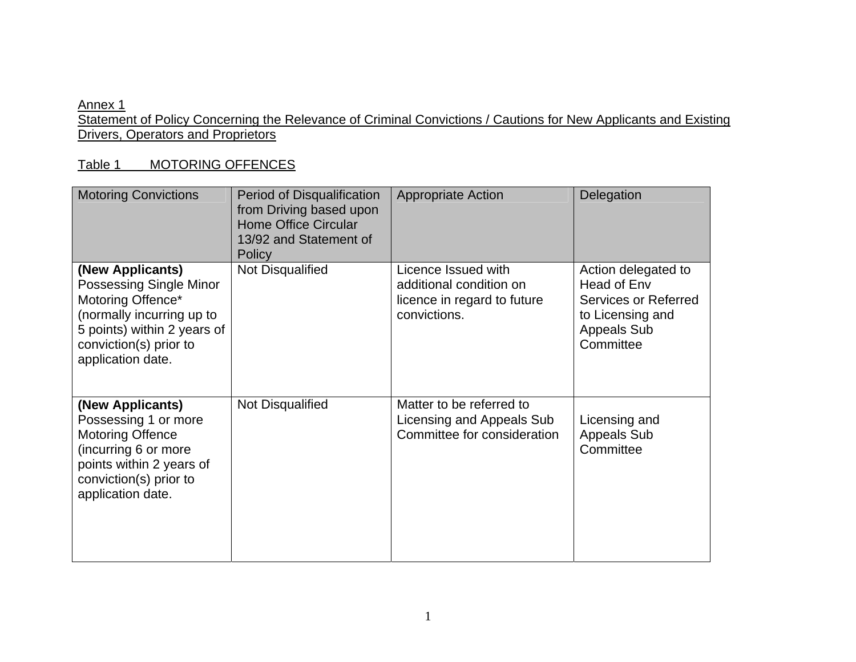## Annex 1

Statement of Policy Concerning the Relevance of Criminal Convictions / Cautions for New Applicants and Existing Drivers, Operators and Proprietors

## Table 1 MOTORING OFFENCES

| <b>Motoring Convictions</b>                                                                                                                                                 | Period of Disqualification<br>from Driving based upon<br><b>Home Office Circular</b><br>13/92 and Statement of<br>Policy | <b>Appropriate Action</b>                                                                     | Delegation                                                                                                        |
|-----------------------------------------------------------------------------------------------------------------------------------------------------------------------------|--------------------------------------------------------------------------------------------------------------------------|-----------------------------------------------------------------------------------------------|-------------------------------------------------------------------------------------------------------------------|
| (New Applicants)<br>Possessing Single Minor<br>Motoring Offence*<br>(normally incurring up to<br>5 points) within 2 years of<br>conviction(s) prior to<br>application date. | Not Disqualified                                                                                                         | Licence Issued with<br>additional condition on<br>licence in regard to future<br>convictions. | Action delegated to<br>Head of Env<br>Services or Referred<br>to Licensing and<br><b>Appeals Sub</b><br>Committee |
| (New Applicants)<br>Possessing 1 or more<br><b>Motoring Offence</b><br>(incurring 6 or more<br>points within 2 years of<br>conviction(s) prior to<br>application date.      | Not Disqualified                                                                                                         | Matter to be referred to<br>Licensing and Appeals Sub<br>Committee for consideration          | Licensing and<br><b>Appeals Sub</b><br>Committee                                                                  |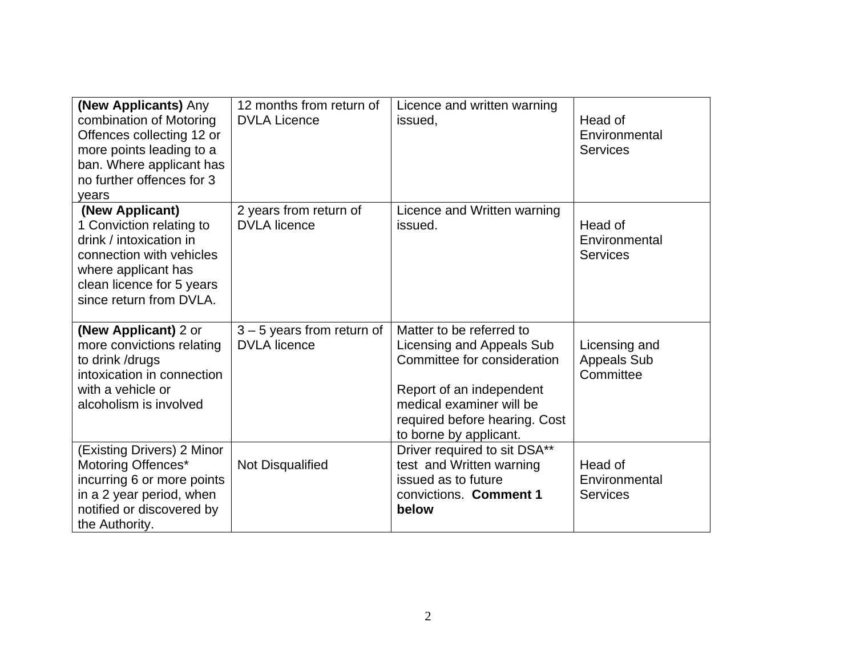| (New Applicants) Any<br>combination of Motoring<br>Offences collecting 12 or<br>more points leading to a<br>ban. Where applicant has<br>no further offences for 3<br>years        | 12 months from return of<br><b>DVLA Licence</b>     | Licence and written warning<br>issued.                                                                                                                                                                  | Head of<br>Environmental<br><b>Services</b>      |
|-----------------------------------------------------------------------------------------------------------------------------------------------------------------------------------|-----------------------------------------------------|---------------------------------------------------------------------------------------------------------------------------------------------------------------------------------------------------------|--------------------------------------------------|
| (New Applicant)<br>1 Conviction relating to<br>drink / intoxication in<br>connection with vehicles<br>where applicant has<br>clean licence for 5 years<br>since return from DVLA. | 2 years from return of<br><b>DVLA</b> licence       | Licence and Written warning<br>issued.                                                                                                                                                                  | Head of<br>Environmental<br><b>Services</b>      |
| (New Applicant) 2 or<br>more convictions relating<br>to drink / drugs<br>intoxication in connection<br>with a vehicle or<br>alcoholism is involved                                | $3 - 5$ years from return of<br><b>DVLA</b> licence | Matter to be referred to<br>Licensing and Appeals Sub<br>Committee for consideration<br>Report of an independent<br>medical examiner will be<br>required before hearing. Cost<br>to borne by applicant. | Licensing and<br><b>Appeals Sub</b><br>Committee |
| (Existing Drivers) 2 Minor<br>Motoring Offences*<br>incurring 6 or more points<br>in a 2 year period, when<br>notified or discovered by<br>the Authority.                         | Not Disqualified                                    | Driver required to sit DSA**<br>test and Written warning<br>issued as to future<br>convictions. Comment 1<br>below                                                                                      | Head of<br>Environmental<br><b>Services</b>      |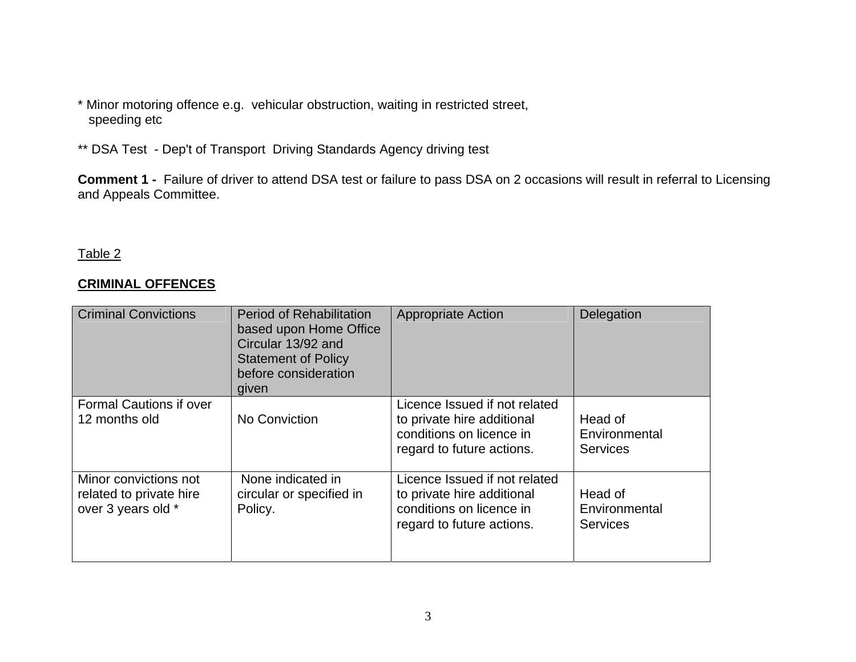- \* Minor motoring offence e.g. vehicular obstruction, waiting in restricted street, speeding etc
- \*\* DSA Test Dep't of Transport Driving Standards Agency driving test

**Comment 1 -** Failure of driver to attend DSA test or failure to pass DSA on 2 occasions will result in referral to Licensing and Appeals Committee.

## Table 2

## **CRIMINAL OFFENCES**

| <b>Criminal Convictions</b>                                            | <b>Period of Rehabilitation</b><br>based upon Home Office<br>Circular 13/92 and<br><b>Statement of Policy</b><br>before consideration<br>given | <b>Appropriate Action</b>                                                                                            | Delegation                                  |
|------------------------------------------------------------------------|------------------------------------------------------------------------------------------------------------------------------------------------|----------------------------------------------------------------------------------------------------------------------|---------------------------------------------|
| <b>Formal Cautions if over</b><br>12 months old                        | No Conviction                                                                                                                                  | Licence Issued if not related<br>to private hire additional<br>conditions on licence in<br>regard to future actions. | Head of<br>Environmental<br><b>Services</b> |
| Minor convictions not<br>related to private hire<br>over 3 years old * | None indicated in<br>circular or specified in<br>Policy.                                                                                       | Licence Issued if not related<br>to private hire additional<br>conditions on licence in<br>regard to future actions. | Head of<br>Environmental<br><b>Services</b> |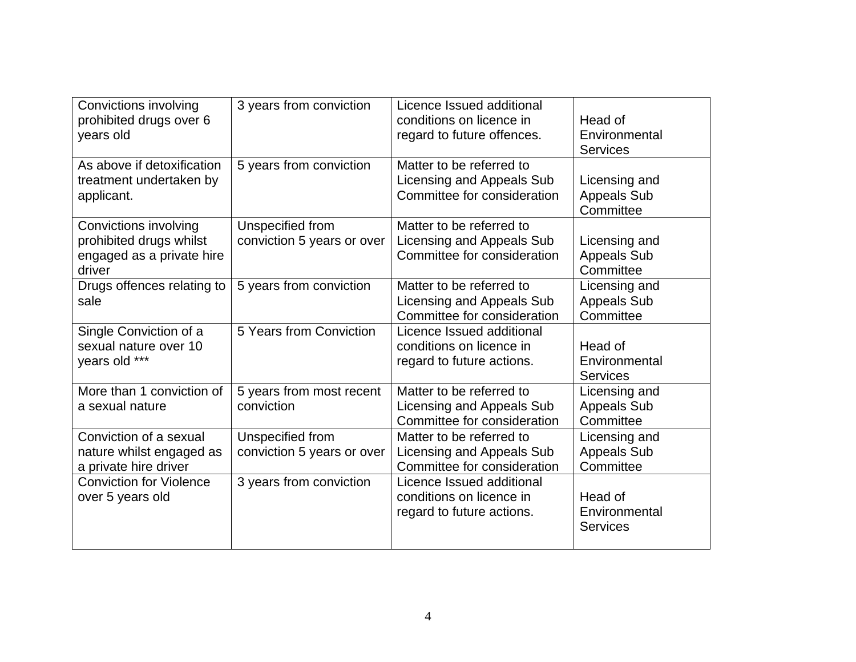| Convictions involving<br>prohibited drugs over 6<br>years old                           | 3 years from conviction                        | Licence Issued additional<br>conditions on licence in<br>regard to future offences.  | Head of<br>Environmental<br><b>Services</b>      |
|-----------------------------------------------------------------------------------------|------------------------------------------------|--------------------------------------------------------------------------------------|--------------------------------------------------|
| As above if detoxification<br>treatment undertaken by<br>applicant.                     | 5 years from conviction                        | Matter to be referred to<br>Licensing and Appeals Sub<br>Committee for consideration | Licensing and<br><b>Appeals Sub</b><br>Committee |
| Convictions involving<br>prohibited drugs whilst<br>engaged as a private hire<br>driver | Unspecified from<br>conviction 5 years or over | Matter to be referred to<br>Licensing and Appeals Sub<br>Committee for consideration | Licensing and<br><b>Appeals Sub</b><br>Committee |
| Drugs offences relating to<br>sale                                                      | 5 years from conviction                        | Matter to be referred to<br>Licensing and Appeals Sub<br>Committee for consideration | Licensing and<br><b>Appeals Sub</b><br>Committee |
| Single Conviction of a<br>sexual nature over 10<br>years old ***                        | 5 Years from Conviction                        | Licence Issued additional<br>conditions on licence in<br>regard to future actions.   | Head of<br>Environmental<br><b>Services</b>      |
| More than 1 conviction of<br>a sexual nature                                            | 5 years from most recent<br>conviction         | Matter to be referred to<br>Licensing and Appeals Sub<br>Committee for consideration | Licensing and<br><b>Appeals Sub</b><br>Committee |
| Conviction of a sexual<br>nature whilst engaged as<br>a private hire driver             | Unspecified from<br>conviction 5 years or over | Matter to be referred to<br>Licensing and Appeals Sub<br>Committee for consideration | Licensing and<br><b>Appeals Sub</b><br>Committee |
| <b>Conviction for Violence</b><br>over 5 years old                                      | 3 years from conviction                        | Licence Issued additional<br>conditions on licence in<br>regard to future actions.   | Head of<br>Environmental<br><b>Services</b>      |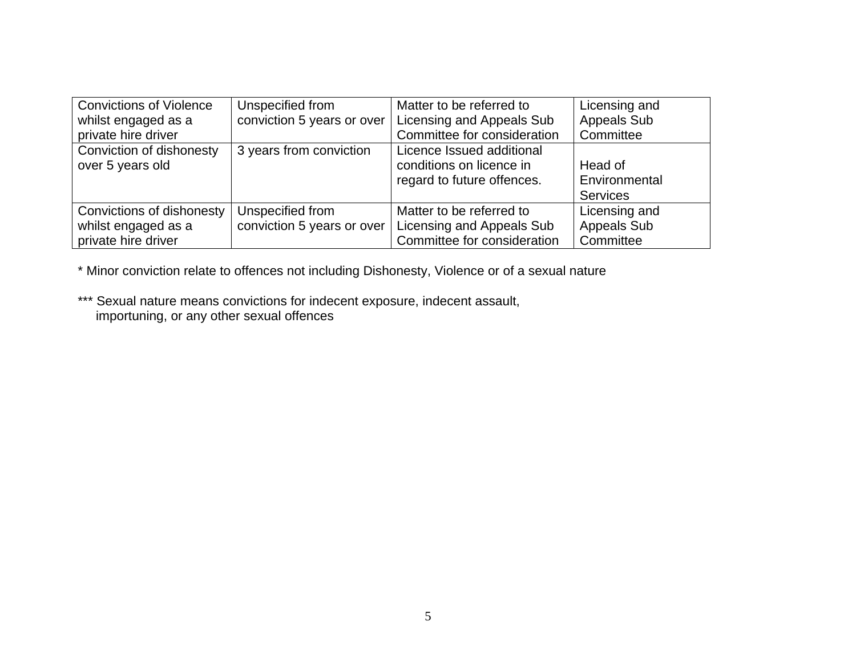| <b>Convictions of Violence</b> | Unspecified from           | Matter to be referred to    | Licensing and      |
|--------------------------------|----------------------------|-----------------------------|--------------------|
| whilst engaged as a            | conviction 5 years or over | Licensing and Appeals Sub   | <b>Appeals Sub</b> |
| private hire driver            |                            | Committee for consideration | Committee          |
| Conviction of dishonesty       | 3 years from conviction    | Licence Issued additional   |                    |
| over 5 years old               |                            | conditions on licence in    | Head of            |
|                                |                            | regard to future offences.  | Environmental      |
|                                |                            |                             | <b>Services</b>    |
| Convictions of dishonesty      | Unspecified from           | Matter to be referred to    | Licensing and      |
| whilst engaged as a            | conviction 5 years or over | Licensing and Appeals Sub   | Appeals Sub        |
| private hire driver            |                            | Committee for consideration | Committee          |

\* Minor conviction relate to offences not including Dishonesty, Violence or of a sexual nature

\*\*\* Sexual nature means convictions for indecent exposure, indecent assault, importuning, or any other sexual offences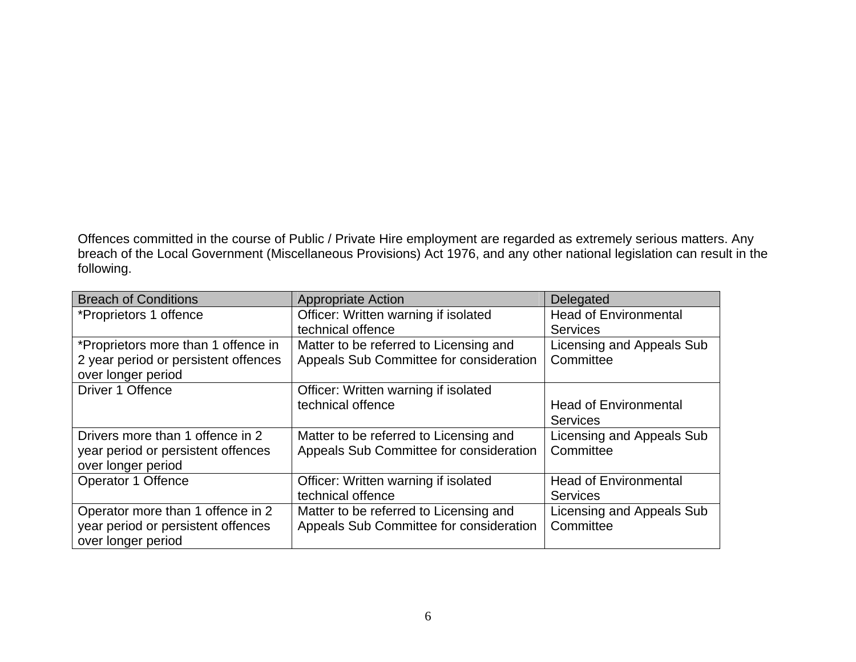Offences committed in the course of Public / Private Hire employment are regarded as extremely serious matters. Any breach of the Local Government (Miscellaneous Provisions) Act 1976, and any other national legislation can result in the following.

| <b>Breach of Conditions</b>          | <b>Appropriate Action</b>               | Delegated                    |
|--------------------------------------|-----------------------------------------|------------------------------|
| *Proprietors 1 offence               | Officer: Written warning if isolated    | <b>Head of Environmental</b> |
|                                      | technical offence                       | <b>Services</b>              |
| *Proprietors more than 1 offence in  | Matter to be referred to Licensing and  | Licensing and Appeals Sub    |
| 2 year period or persistent offences | Appeals Sub Committee for consideration | Committee                    |
| over longer period                   |                                         |                              |
| Driver 1 Offence                     | Officer: Written warning if isolated    |                              |
|                                      | technical offence                       | <b>Head of Environmental</b> |
|                                      |                                         | <b>Services</b>              |
| Drivers more than 1 offence in 2     | Matter to be referred to Licensing and  | Licensing and Appeals Sub    |
| year period or persistent offences   | Appeals Sub Committee for consideration | Committee                    |
| over longer period                   |                                         |                              |
| Operator 1 Offence                   | Officer: Written warning if isolated    | <b>Head of Environmental</b> |
|                                      | technical offence                       | <b>Services</b>              |
| Operator more than 1 offence in 2    | Matter to be referred to Licensing and  | Licensing and Appeals Sub    |
| year period or persistent offences   | Appeals Sub Committee for consideration | Committee                    |
| over longer period                   |                                         |                              |